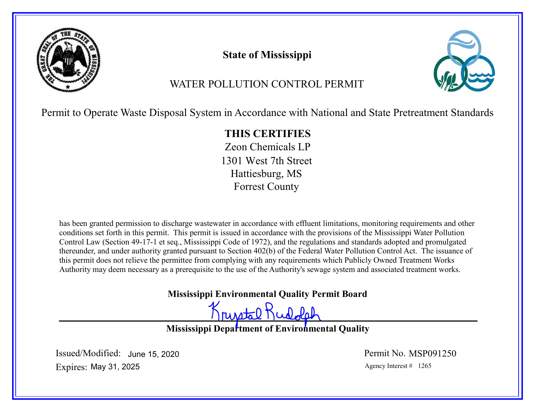

# State of Mississippi



# WATER POLLUTION CONTROL PERMIT

Permit to Operate Waste Disposal System in Accordance with National and State Pretreatment Standards

# THIS CERTIFIES

Zeon Chemicals LP 1301 West 7th Street Hattiesburg, MS Forrest County

has been granted permission to discharge wastewater in accordance with effluent limitations, monitoring requirements and other conditions set forth in this permit. This permit is issued in accordance with the provisions of the Mississippi Water Pollution Control Law (Section 49-17-1 et seq., Mississippi Code of 1972), and the regulations and standards adopted and promulgated thereunder, and under authority granted pursuant to Section 402(b) of the Federal Water Pollution Control Act. The issuance of this permit does not relieve the permittee from complying with any requirements which Publicly Owned Treatment Works Authority may deem necessary as a prerequisite to the use of the Authority's sewage system and associated treatment works.

Mississippi Environmental Quality Permit Board

Krustal Rudolph

Mississippi Department of Environmental Quality

Expires: May 31, 2025 **Agency Interest #** 1265 Issued/Modified: June 15, 2020 **In the Search Contract Contract Permit No.** MSP091250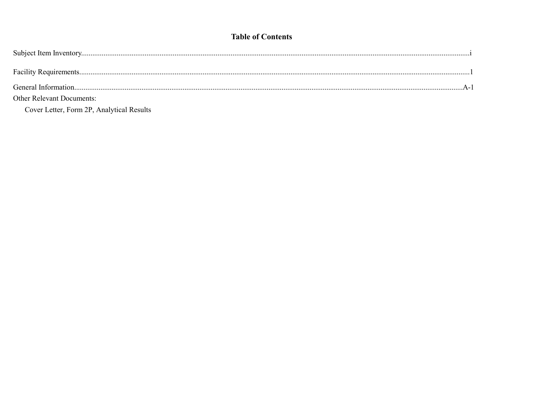# **Table of Contents**

| <b>Other Relevant Documents:</b> |  |
|----------------------------------|--|
|                                  |  |

Cover Letter, Form 2P, Analytical Results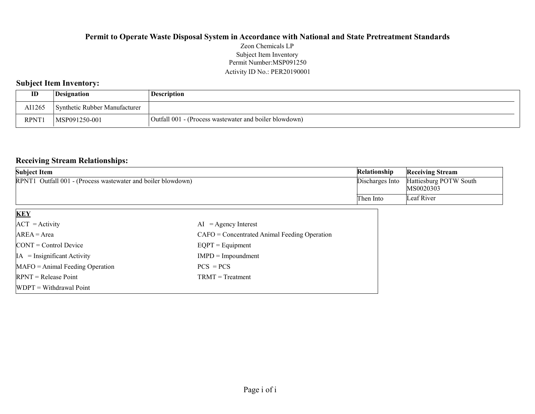# Permit Number:MSP091250 Activity ID No.: PER20190001 Subject Item Inventory

# Subject Item Inventory:

| ID          | <i><b>Designation</b></i>     | Description                                            |
|-------------|-------------------------------|--------------------------------------------------------|
| AI1265      | Synthetic Rubber Manufacturer |                                                        |
| <b>RPNT</b> | MSP091250-001                 | Outfall 001 - (Process wastewater and boiler blowdown) |

### Receiving Stream Relationships:

| Subject Item                                                 | <b>Relationship</b> | <b>Receiving Stream</b>             |
|--------------------------------------------------------------|---------------------|-------------------------------------|
| RPNT1 Outfall 001 - (Process wastewater and boiler blowdown) | Discharges Into     | Hattiesburg POTW South<br>MS0020303 |
|                                                              | Then Into           | Leaf River                          |

| <b>KEY</b>                            |                                                |
|---------------------------------------|------------------------------------------------|
| $ACT = Activity$                      | $AI = Agency Interest$                         |
| $AREA = Area$                         | $CAFO =$ Concentrated Animal Feeding Operation |
| $\text{CONT} = \text{Control Device}$ | $EQPT = Equipment$                             |
| $IA = Insignificant Activity$         | $IMPD = Impoundment$                           |
| $MAFO = Animal Feeding Operation$     | $PCS = PCs$                                    |
| $RPNT = Release Point$                | $TRMT = Treatment$                             |
| $WDPT = Without$ Withdrawal Point     |                                                |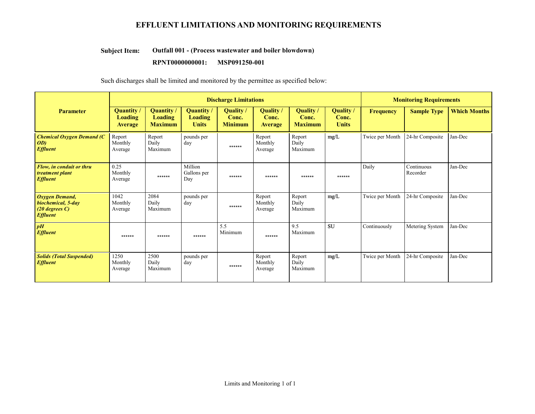# EFFLUENT LIMITATIONS AND MONITORING REQUIREMENTS

#### Outfall 001 - (Process wastewater and boiler blowdown) Subject Item:

#### RPNT0000000001: MSP091250-001

Such discharges shall be limited and monitored by the permittee as specified below:

|                                                                             | <b>Discharge Limitations</b>                   |                                              |                                             |                                           |                               |                                             | <b>Monitoring Requirements</b>     |                  |                        |                     |
|-----------------------------------------------------------------------------|------------------------------------------------|----------------------------------------------|---------------------------------------------|-------------------------------------------|-------------------------------|---------------------------------------------|------------------------------------|------------------|------------------------|---------------------|
| <b>Parameter</b>                                                            | Quantity /<br><b>Loading</b><br><b>Average</b> | Quantity<br><b>Loading</b><br><b>Maximum</b> | Quantity/<br><b>Loading</b><br><b>Units</b> | <b>Quality</b><br>Conc.<br><b>Minimum</b> | Quality /<br>Conc.<br>Average | <b>Quality</b> /<br>Conc.<br><b>Maximum</b> | Quality /<br>Conc.<br><b>Units</b> | <b>Frequency</b> | <b>Sample Type</b>     | <b>Which Months</b> |
| <b>Chemical Oxygen Demand (C</b><br>OD)<br><b>Effluent</b>                  | Report<br>Monthly<br>Average                   | Report<br>Daily<br>Maximum                   | pounds per<br>day                           | ******                                    | Report<br>Monthly<br>Average  | Report<br>Daily<br>Maximum                  | mg/L                               | Twice per Month  | 24-hr Composite        | Jan-Dec             |
| Flow, in conduit or thru<br>treatment plant<br><b>Effluent</b>              | 0.25<br>Monthly<br>Average                     | ******                                       | Million<br>Gallons per<br>Day               | ******                                    | ******                        | ******                                      | ******                             | Daily            | Continuous<br>Recorder | Jan-Dec             |
| Oxygen Demand,<br>biochemical, 5-day<br>$(20$ degrees C)<br><b>Effluent</b> | 1042<br>Monthly<br>Average                     | 2084<br>Daily<br>Maximum                     | pounds per<br>day                           | ******                                    | Report<br>Monthly<br>Average  | Report<br>Daily<br>Maximum                  | mg/L                               | Twice per Month  | 24-hr Composite        | Jan-Dec             |
| pH<br><b>Effluent</b>                                                       | ******                                         | ******                                       | ******                                      | 5.5<br>Minimum                            | ******                        | 9.5<br>Maximum                              | <b>SU</b>                          | Continuously     | Metering System        | Jan-Dec             |
| <b>Solids (Total Suspended)</b><br><b>Effluent</b>                          | 1250<br>Monthly<br>Average                     | 2500<br>Daily<br>Maximum                     | pounds per<br>day                           | ******                                    | Report<br>Monthly<br>Average  | Report<br>Daily<br>Maximum                  | mg/L                               | Twice per Month  | 24-hr Composite        | Jan-Dec             |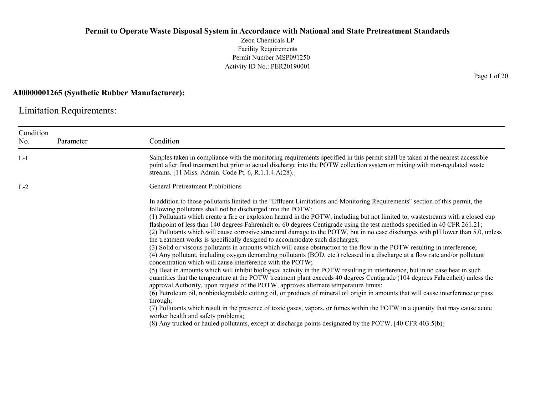Zeon Chemicals LP Facility Requirements Permit Number:MSP091250 Activity ID No.: PER20190001

#### AI0000001265 (Synthetic Rubber Manufacturer):

Limitation Requirements:

| Condition<br>No. | Parameter | Condition                                                                                                                                                                                                                                                                                                                                                                                                                                                                                                                                                                                                                                                                                                                                                                                                                                                                                                                                                                                                                                                                                                                                                                                                                                                                                                                                                                                                                                                                                                                                                                                                                                                                                                                                                                                                          |
|------------------|-----------|--------------------------------------------------------------------------------------------------------------------------------------------------------------------------------------------------------------------------------------------------------------------------------------------------------------------------------------------------------------------------------------------------------------------------------------------------------------------------------------------------------------------------------------------------------------------------------------------------------------------------------------------------------------------------------------------------------------------------------------------------------------------------------------------------------------------------------------------------------------------------------------------------------------------------------------------------------------------------------------------------------------------------------------------------------------------------------------------------------------------------------------------------------------------------------------------------------------------------------------------------------------------------------------------------------------------------------------------------------------------------------------------------------------------------------------------------------------------------------------------------------------------------------------------------------------------------------------------------------------------------------------------------------------------------------------------------------------------------------------------------------------------------------------------------------------------|
| $L-1$            |           | Samples taken in compliance with the monitoring requirements specified in this permit shall be taken at the nearest accessible<br>point after final treatment but prior to actual discharge into the POTW collection system or mixing with non-regulated waste<br>streams. [11 Miss. Admin. Code Pt. 6, R.1.1.4.A(28).]                                                                                                                                                                                                                                                                                                                                                                                                                                                                                                                                                                                                                                                                                                                                                                                                                                                                                                                                                                                                                                                                                                                                                                                                                                                                                                                                                                                                                                                                                            |
| $L-2$            |           | <b>General Pretreatment Prohibitions</b>                                                                                                                                                                                                                                                                                                                                                                                                                                                                                                                                                                                                                                                                                                                                                                                                                                                                                                                                                                                                                                                                                                                                                                                                                                                                                                                                                                                                                                                                                                                                                                                                                                                                                                                                                                           |
|                  |           | In addition to those pollutants limited in the "Effluent Limitations and Monitoring Requirements" section of this permit, the<br>following pollutants shall not be discharged into the POTW:<br>(1) Pollutants which create a fire or explosion hazard in the POTW, including but not limited to, wastestreams with a closed cup<br>flashpoint of less than 140 degrees Fahrenheit or 60 degrees Centigrade using the test methods specified in 40 CFR 261.21;<br>(2) Pollutants which will cause corrosive structural damage to the POTW, but in no case discharges with pH lower than 5.0, unless<br>the treatment works is specifically designed to accommodate such discharges;<br>(3) Solid or viscous pollutants in amounts which will cause obstruction to the flow in the POTW resulting in interference;<br>(4) Any pollutant, including oxygen demanding pollutants (BOD, etc.) released in a discharge at a flow rate and/or pollutant<br>concentration which will cause interference with the POTW;<br>(5) Heat in amounts which will inhibit biological activity in the POTW resulting in interference, but in no case heat in such<br>quantities that the temperature at the POTW treatment plant exceeds 40 degrees Centigrade (104 degrees Fahrenheit) unless the<br>approval Authority, upon request of the POTW, approves alternate temperature limits;<br>(6) Petroleum oil, nonbiodegradable cutting oil, or products of mineral oil origin in amounts that will cause interference or pass<br>through;<br>(7) Pollutants which result in the presence of toxic gases, vapors, or fumes within the POTW in a quantity that may cause acute<br>worker health and safety problems;<br>(8) Any trucked or hauled pollutants, except at discharge points designated by the POTW. [40 CFR 403.5(b)] |

Page 1 of 20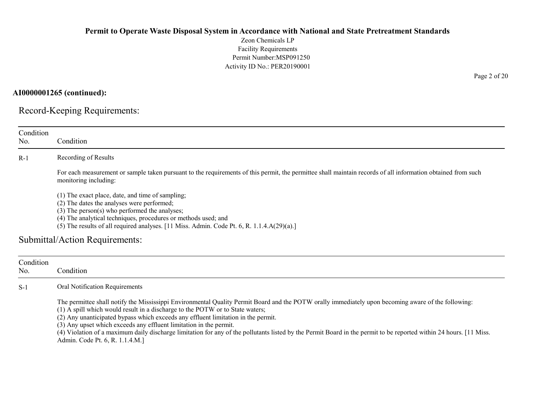Zeon Chemicals LP Facility Requirements Permit Number:MSP091250 Activity ID No.: PER20190001

AI0000001265 (continued):

Record-Keeping Requirements:

| Condition<br>No. | Condition                                                                                                                                                                                                                                                                                                                                                                                                                                                                                                                                                                                                |
|------------------|----------------------------------------------------------------------------------------------------------------------------------------------------------------------------------------------------------------------------------------------------------------------------------------------------------------------------------------------------------------------------------------------------------------------------------------------------------------------------------------------------------------------------------------------------------------------------------------------------------|
| $R-1$            | Recording of Results                                                                                                                                                                                                                                                                                                                                                                                                                                                                                                                                                                                     |
|                  | For each measurement or sample taken pursuant to the requirements of this permit, the permittee shall maintain records of all information obtained from such<br>monitoring including:                                                                                                                                                                                                                                                                                                                                                                                                                    |
|                  | (1) The exact place, date, and time of sampling;<br>(2) The dates the analyses were performed;<br>$(3)$ The person $(s)$ who performed the analyses;<br>(4) The analytical techniques, procedures or methods used; and<br>(5) The results of all required analyses. [11 Miss. Admin. Code Pt. 6, R. 1.1.4.A(29)(a).]<br>Submittal/Action Requirements:                                                                                                                                                                                                                                                   |
|                  |                                                                                                                                                                                                                                                                                                                                                                                                                                                                                                                                                                                                          |
| Condition<br>No. | Condition                                                                                                                                                                                                                                                                                                                                                                                                                                                                                                                                                                                                |
| $S-1$            | Oral Notification Requirements                                                                                                                                                                                                                                                                                                                                                                                                                                                                                                                                                                           |
|                  | The permittee shall notify the Mississippi Environmental Quality Permit Board and the POTW orally immediately upon becoming aware of the following:<br>(1) A spill which would result in a discharge to the POTW or to State waters;<br>(2) Any unanticipated bypass which exceeds any effluent limitation in the permit.<br>(3) Any upset which exceeds any effluent limitation in the permit.<br>(4) Violation of a maximum daily discharge limitation for any of the pollutants listed by the Permit Board in the permit to be reported within 24 hours. [11 Miss.<br>Admin. Code Pt. 6, R. 1.1.4.M.] |

Page 2 of 20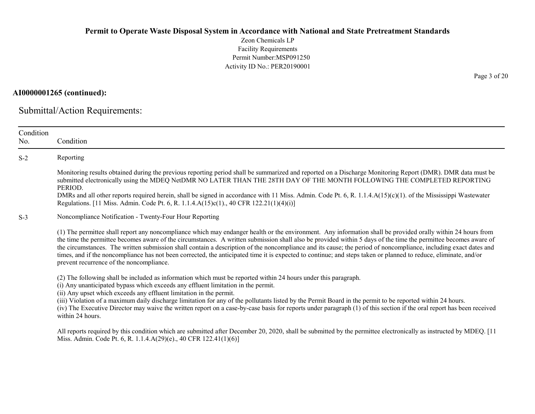Zeon Chemicals LP Facility Requirements Permit Number:MSP091250 Activity ID No.: PER20190001

AI0000001265 (continued):

Submittal/Action Requirements:

| Condition<br>No. | Condition                                                                                                                                                                                                                                                                                                                                                                                                                                                                                                                                                                                                                                                                                                           |
|------------------|---------------------------------------------------------------------------------------------------------------------------------------------------------------------------------------------------------------------------------------------------------------------------------------------------------------------------------------------------------------------------------------------------------------------------------------------------------------------------------------------------------------------------------------------------------------------------------------------------------------------------------------------------------------------------------------------------------------------|
| $S-2$            | Reporting                                                                                                                                                                                                                                                                                                                                                                                                                                                                                                                                                                                                                                                                                                           |
|                  | Monitoring results obtained during the previous reporting period shall be summarized and reported on a Discharge Monitoring Report (DMR). DMR data must be<br>submitted electronically using the MDEQ NetDMR NO LATER THAN THE 28TH DAY OF THE MONTH FOLLOWING THE COMPLETED REPORTING<br>PERIOD.                                                                                                                                                                                                                                                                                                                                                                                                                   |
|                  | DMRs and all other reports required herein, shall be signed in accordance with 11 Miss. Admin. Code Pt. 6, R. 1.1.4. $A(15)(c)(1)$ . of the Mississippi Wastewater<br>Regulations. [11 Miss. Admin. Code Pt. 6, R. 1.1.4.A(15)c(1)., 40 CFR 122.21(1)(4)(i)]                                                                                                                                                                                                                                                                                                                                                                                                                                                        |
| $S-3$            | Noncompliance Notification - Twenty-Four Hour Reporting                                                                                                                                                                                                                                                                                                                                                                                                                                                                                                                                                                                                                                                             |
|                  | (1) The permittee shall report any noncompliance which may endanger health or the environment. Any information shall be provided orally within 24 hours from<br>the time the permittee becomes aware of the circumstances. A written submission shall also be provided within 5 days of the time the permittee becomes aware of<br>the circumstances. The written submission shall contain a description of the noncompliance and its cause; the period of noncompliance, including exact dates and<br>times, and if the noncompliance has not been corrected, the anticipated time it is expected to continue; and steps taken or planned to reduce, eliminate, and/or<br>prevent recurrence of the noncompliance. |
|                  | (2) The following shall be included as information which must be reported within 24 hours under this paragraph.<br>(i) Any unanticipated bypass which exceeds any effluent limitation in the permit.<br>(ii) Any upset which exceeds any effluent limitation in the permit.                                                                                                                                                                                                                                                                                                                                                                                                                                         |
|                  | (iii) Violation of a maximum daily discharge limitation for any of the pollutants listed by the Permit Board in the permit to be reported within 24 hours.<br>(iv) The Executive Director may waive the written report on a case-by-case basis for reports under paragraph (1) of this section if the oral report has been received<br>within 24 hours.                                                                                                                                                                                                                                                                                                                                                             |
|                  | All reports required by this condition which are submitted after December 20, 2020, shall be submitted by the permittee electronically as instructed by MDEQ. [11<br>Miss. Admin. Code Pt. 6, R. 1.1.4.A(29)(e)., 40 CFR 122.41(1)(6)]                                                                                                                                                                                                                                                                                                                                                                                                                                                                              |

Page 3 of 20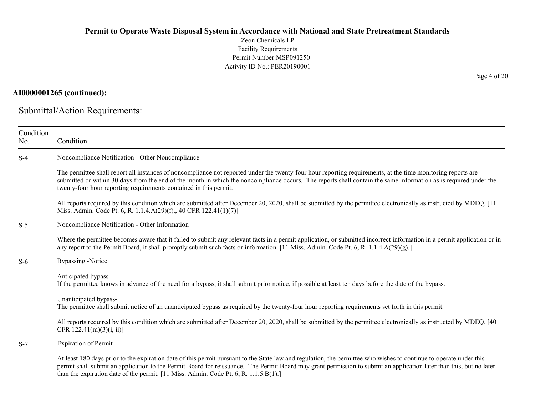Zeon Chemicals LP Facility Requirements Permit Number:MSP091250 Activity ID No.: PER20190001

# AI0000001265 (continued):

Submittal/Action Requirements:

| Condition<br>No. | Condition                                                                                                                                                                                                                                                                                                                                                                                                                         |
|------------------|-----------------------------------------------------------------------------------------------------------------------------------------------------------------------------------------------------------------------------------------------------------------------------------------------------------------------------------------------------------------------------------------------------------------------------------|
| $S-4$            | Noncompliance Notification - Other Noncompliance                                                                                                                                                                                                                                                                                                                                                                                  |
|                  | The permittee shall report all instances of noncompliance not reported under the twenty-four hour reporting requirements, at the time monitoring reports are<br>submitted or within 30 days from the end of the month in which the noncompliance occurs. The reports shall contain the same information as is required under the<br>twenty-four hour reporting requirements contained in this permit.                             |
|                  | All reports required by this condition which are submitted after December 20, 2020, shall be submitted by the permittee electronically as instructed by MDEQ. [11]<br>Miss. Admin. Code Pt. 6, R. 1.1.4.A(29)(f)., 40 CFR 122.41(1)(7)]                                                                                                                                                                                           |
| $S-5$            | Noncompliance Notification - Other Information                                                                                                                                                                                                                                                                                                                                                                                    |
|                  | Where the permittee becomes aware that it failed to submit any relevant facts in a permit application, or submitted incorrect information in a permit application or in<br>any report to the Permit Board, it shall promptly submit such facts or information. [11 Miss. Admin. Code Pt. 6, R. 1.1.4.A(29)(g).]                                                                                                                   |
| $S-6$            | <b>Bypassing</b> -Notice                                                                                                                                                                                                                                                                                                                                                                                                          |
|                  | Anticipated bypass-<br>If the permittee knows in advance of the need for a bypass, it shall submit prior notice, if possible at least ten days before the date of the bypass.                                                                                                                                                                                                                                                     |
|                  | Unanticipated bypass-<br>The permittee shall submit notice of an unanticipated bypass as required by the twenty-four hour reporting requirements set forth in this permit.                                                                                                                                                                                                                                                        |
|                  | All reports required by this condition which are submitted after December 20, 2020, shall be submitted by the permittee electronically as instructed by MDEQ. [40]<br>CFR $122.41(m)(3)(i, ii)$ ]                                                                                                                                                                                                                                 |
| $S-7$            | <b>Expiration of Permit</b>                                                                                                                                                                                                                                                                                                                                                                                                       |
|                  | At least 180 days prior to the expiration date of this permit pursuant to the State law and regulation, the permittee who wishes to continue to operate under this<br>permit shall submit an application to the Permit Board for reissuance. The Permit Board may grant permission to submit an application later than this, but no later<br>than the expiration date of the permit. [11 Miss. Admin. Code Pt. 6, R. 1.1.5.B(1).] |

Page 4 of 20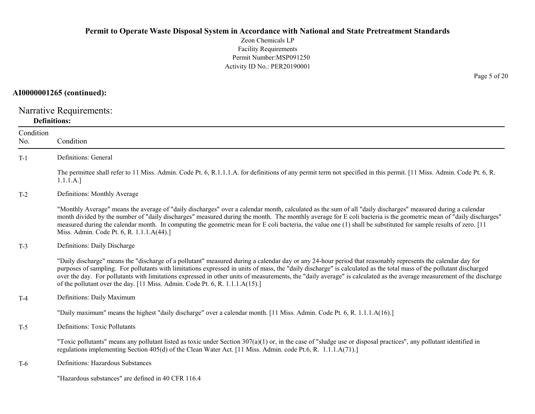Zeon Chemicals LP Facility Requirements Permit Number:MSP091250 Activity ID No.: PER20190001

# AI0000001265 (continued):

Narrative Requirements: Definitions:

| Condition<br>No. | Condition                                                                                                                                                                                                                                                                                                                                                                                                                                                                                                                                                                                   |
|------------------|---------------------------------------------------------------------------------------------------------------------------------------------------------------------------------------------------------------------------------------------------------------------------------------------------------------------------------------------------------------------------------------------------------------------------------------------------------------------------------------------------------------------------------------------------------------------------------------------|
| $T-1$            | Definitions: General                                                                                                                                                                                                                                                                                                                                                                                                                                                                                                                                                                        |
|                  | The permittee shall refer to 11 Miss. Admin. Code Pt. 6, R.1.1.1.A. for definitions of any permit term not specified in this permit. [11 Miss. Admin. Code Pt. 6, R.<br>1.1.1.A.]                                                                                                                                                                                                                                                                                                                                                                                                           |
| $T-2$            | Definitions: Monthly Average                                                                                                                                                                                                                                                                                                                                                                                                                                                                                                                                                                |
|                  | "Monthly Average" means the average of "daily discharges" over a calendar month, calculated as the sum of all "daily discharges" measured during a calendar<br>month divided by the number of "daily discharges" measured during the month. The monthly average for E coli bacteria is the geometric mean of "daily discharges"<br>measured during the calendar month. In computing the geometric mean for E coli bacteria, the value one (1) shall be substituted for sample results of zero. [11]<br>Miss. Admin. Code Pt. 6, R. 1.1.1.A(44).]                                            |
| $T-3$            | Definitions: Daily Discharge                                                                                                                                                                                                                                                                                                                                                                                                                                                                                                                                                                |
|                  | "Daily discharge" means the "discharge of a pollutant" measured during a calendar day or any 24-hour period that reasonably represents the calendar day for<br>purposes of sampling. For pollutants with limitations expressed in units of mass, the "daily discharge" is calculated as the total mass of the pollutant discharged<br>over the day. For pollutants with limitations expressed in other units of measurements, the "daily average" is calculated as the average measurement of the discharge<br>of the pollutant over the day. [11 Miss. Admin. Code Pt. 6, R. 1.1.1.A(15).] |
| $T-4$            | Definitions: Daily Maximum                                                                                                                                                                                                                                                                                                                                                                                                                                                                                                                                                                  |
|                  | "Daily maximum" means the highest "daily discharge" over a calendar month. [11 Miss. Admin. Code Pt. 6, R. 1.1.1.A(16).]                                                                                                                                                                                                                                                                                                                                                                                                                                                                    |
| $T-5$            | Definitions: Toxic Pollutants                                                                                                                                                                                                                                                                                                                                                                                                                                                                                                                                                               |
|                  | "Toxic pollutants" means any pollutant listed as toxic under Section $307(a)(1)$ or, in the case of "sludge use or disposal practices", any pollutant identified in<br>regulations implementing Section 405(d) of the Clean Water Act. [11 Miss. Admin. code Pt.6, R. 1.1.1.A(71).]                                                                                                                                                                                                                                                                                                         |
| T-6              | Definitions: Hazardous Substances                                                                                                                                                                                                                                                                                                                                                                                                                                                                                                                                                           |
|                  | "Hazardous substances" are defined in 40 CFR 116.4                                                                                                                                                                                                                                                                                                                                                                                                                                                                                                                                          |

Page 5 of 20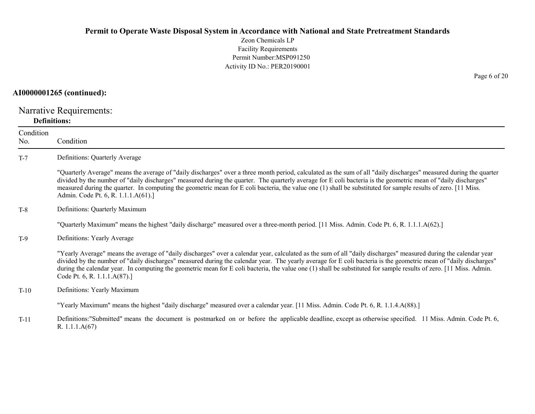Zeon Chemicals LP Facility Requirements Permit Number:MSP091250 Activity ID No.: PER20190001

#### AI0000001265 (continued):

Narrative Requirements: Definitions:

Condition No. Condition T-7 Definitions: Quarterly Average "Quarterly Average" means the average of "daily discharges" over a three month period, calculated as the sum of all "daily discharges" measured during the quarter divided by the number of "daily discharges" measured during the quarter. The quarterly average for E coli bacteria is the geometric mean of "daily discharges" measured during the quarter. In computing the geometric mean for E coli bacteria, the value one (1) shall be substituted for sample results of zero. [11 Miss. Admin. Code Pt. 6, R. 1.1.1.A(61).] T-8 Definitions: Quarterly Maximum "Quarterly Maximum" means the highest "daily discharge" measured over a three-month period. [11 Miss. Admin. Code Pt. 6, R. 1.1.1.A(62).] T-9 Definitions: Yearly Average "Yearly Average" means the average of "daily discharges" over a calendar year, calculated as the sum of all "daily discharges" measured during the calendar year divided by the number of "daily discharges" measured during the calendar year. The yearly average for E coli bacteria is the geometric mean of "daily discharges" during the calendar year. In computing the geometric mean for E coli bacteria, the value one (1) shall be substituted for sample results of zero. [11 Miss. Admin. Code Pt. 6, R. 1.1.1.A(87).] T-10 Definitions: Yearly Maximum "Yearly Maximum" means the highest "daily discharge" measured over a calendar year. [11 Miss. Admin. Code Pt. 6, R. 1.1.4.A(88).]

T-11 Definitions:"Submitted" means the document is postmarked on or before the applicable deadline, except as otherwise specified. 11 Miss. Admin. Code Pt. 6, R. 1.1.1.A(67)

Page 6 of 20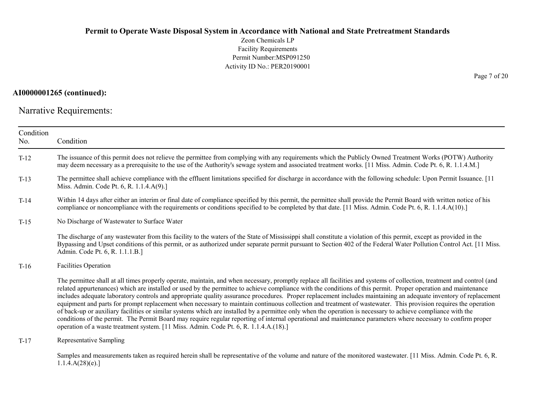Zeon Chemicals LP Facility Requirements Permit Number:MSP091250 Activity ID No.: PER20190001

# AI0000001265 (continued):

Narrative Requirements:

| Condition<br>No. | Condition                                                                                                                                                                                                                                                                                                                                                                                                                                                                                                                                                                                                                                                                                                                                                                                                                                                                                                                                                                                                                                                                                                |
|------------------|----------------------------------------------------------------------------------------------------------------------------------------------------------------------------------------------------------------------------------------------------------------------------------------------------------------------------------------------------------------------------------------------------------------------------------------------------------------------------------------------------------------------------------------------------------------------------------------------------------------------------------------------------------------------------------------------------------------------------------------------------------------------------------------------------------------------------------------------------------------------------------------------------------------------------------------------------------------------------------------------------------------------------------------------------------------------------------------------------------|
| $T-12$           | The issuance of this permit does not relieve the permittee from complying with any requirements which the Publicly Owned Treatment Works (POTW) Authority<br>may deem necessary as a prerequisite to the use of the Authority's sewage system and associated treatment works. [11 Miss. Admin. Code Pt. 6, R. 1.1.4.M.]                                                                                                                                                                                                                                                                                                                                                                                                                                                                                                                                                                                                                                                                                                                                                                                  |
| $T-13$           | The permittee shall achieve compliance with the effluent limitations specified for discharge in accordance with the following schedule: Upon Permit Issuance. [11<br>Miss. Admin. Code Pt. 6, R. 1.1.4.A(9).]                                                                                                                                                                                                                                                                                                                                                                                                                                                                                                                                                                                                                                                                                                                                                                                                                                                                                            |
| $T-14$           | Within 14 days after either an interim or final date of compliance specified by this permit, the permittee shall provide the Permit Board with written notice of his<br>compliance or noncompliance with the requirements or conditions specified to be completed by that date. [11 Miss. Admin. Code Pt. 6, R. 1.1.4.A(10).]                                                                                                                                                                                                                                                                                                                                                                                                                                                                                                                                                                                                                                                                                                                                                                            |
| $T-15$           | No Discharge of Wastewater to Surface Water                                                                                                                                                                                                                                                                                                                                                                                                                                                                                                                                                                                                                                                                                                                                                                                                                                                                                                                                                                                                                                                              |
|                  | The discharge of any wastewater from this facility to the waters of the State of Mississippi shall constitute a violation of this permit, except as provided in the<br>Bypassing and Upset conditions of this permit, or as authorized under separate permit pursuant to Section 402 of the Federal Water Pollution Control Act. [11 Miss.<br>Admin. Code Pt. 6, R. 1.1.1.B.]                                                                                                                                                                                                                                                                                                                                                                                                                                                                                                                                                                                                                                                                                                                            |
| $T-16$           | <b>Facilities Operation</b>                                                                                                                                                                                                                                                                                                                                                                                                                                                                                                                                                                                                                                                                                                                                                                                                                                                                                                                                                                                                                                                                              |
|                  | The permittee shall at all times properly operate, maintain, and when necessary, promptly replace all facilities and systems of collection, treatment and control (and<br>related appurtenances) which are installed or used by the permittee to achieve compliance with the conditions of this permit. Proper operation and maintenance<br>includes adequate laboratory controls and appropriate quality assurance procedures. Proper replacement includes maintaining an adequate inventory of replacement<br>equipment and parts for prompt replacement when necessary to maintain continuous collection and treatment of wastewater. This provision requires the operation<br>of back-up or auxiliary facilities or similar systems which are installed by a permittee only when the operation is necessary to achieve compliance with the<br>conditions of the permit. The Permit Board may require regular reporting of internal operational and maintenance parameters where necessary to confirm proper<br>operation of a waste treatment system. [11 Miss. Admin. Code Pt. 6, R. 1.1.4.A.(18).] |
| $T-17$           | Representative Sampling                                                                                                                                                                                                                                                                                                                                                                                                                                                                                                                                                                                                                                                                                                                                                                                                                                                                                                                                                                                                                                                                                  |
|                  | Samples and measurements taken as required herein shall be representative of the volume and nature of the monitored wastewater. [11 Miss. Admin. Code Pt. 6, R.<br>1.1.4.A(28)(e).                                                                                                                                                                                                                                                                                                                                                                                                                                                                                                                                                                                                                                                                                                                                                                                                                                                                                                                       |

Page 7 of 20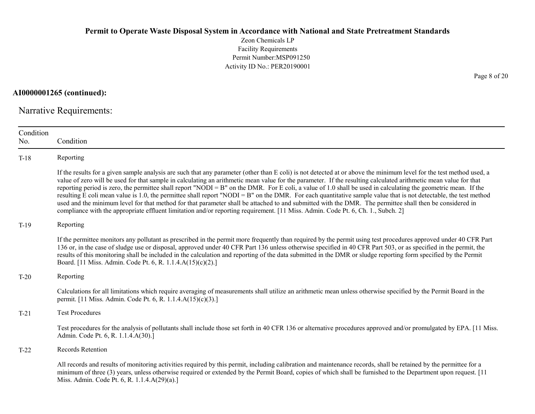Zeon Chemicals LP Facility Requirements Permit Number:MSP091250 Activity ID No.: PER20190001

AI0000001265 (continued):

Narrative Requirements:

| Condition<br>No. | Condition                                                                                                                                                                                                                                                                                                                                                                                                                                                                                                                                                                                                                                                                                                                                                                                                                                                                                                                                                                      |
|------------------|--------------------------------------------------------------------------------------------------------------------------------------------------------------------------------------------------------------------------------------------------------------------------------------------------------------------------------------------------------------------------------------------------------------------------------------------------------------------------------------------------------------------------------------------------------------------------------------------------------------------------------------------------------------------------------------------------------------------------------------------------------------------------------------------------------------------------------------------------------------------------------------------------------------------------------------------------------------------------------|
| $T-18$           | Reporting                                                                                                                                                                                                                                                                                                                                                                                                                                                                                                                                                                                                                                                                                                                                                                                                                                                                                                                                                                      |
|                  | If the results for a given sample analysis are such that any parameter (other than E coli) is not detected at or above the minimum level for the test method used, a<br>value of zero will be used for that sample in calculating an arithmetic mean value for the parameter. If the resulting calculated arithmetic mean value for that<br>reporting period is zero, the permittee shall report "NODI = B" on the DMR. For E coli, a value of 1.0 shall be used in calculating the geometric mean. If the<br>resulting E coli mean value is 1.0, the permittee shall report "NODI = B" on the DMR. For each quantitative sample value that is not detectable, the test method<br>used and the minimum level for that method for that parameter shall be attached to and submitted with the DMR. The permittee shall then be considered in<br>compliance with the appropriate effluent limitation and/or reporting requirement. [11 Miss. Admin. Code Pt. 6, Ch. 1., Subch. 2] |
| $T-19$           | Reporting                                                                                                                                                                                                                                                                                                                                                                                                                                                                                                                                                                                                                                                                                                                                                                                                                                                                                                                                                                      |
|                  | If the permittee monitors any pollutant as prescribed in the permit more frequently than required by the permit using test procedures approved under 40 CFR Part<br>136 or, in the case of sludge use or disposal, approved under 40 CFR Part 136 unless otherwise specified in 40 CFR Part 503, or as specified in the permit, the<br>results of this monitoring shall be included in the calculation and reporting of the data submitted in the DMR or sludge reporting form specified by the Permit<br>Board. [11 Miss. Admin. Code Pt. 6, R. 1.1.4.A(15)(c)(2).]                                                                                                                                                                                                                                                                                                                                                                                                           |
| $T-20$           | Reporting                                                                                                                                                                                                                                                                                                                                                                                                                                                                                                                                                                                                                                                                                                                                                                                                                                                                                                                                                                      |
|                  | Calculations for all limitations which require averaging of measurements shall utilize an arithmetic mean unless otherwise specified by the Permit Board in the<br>permit. [11 Miss. Admin. Code Pt. 6, R. 1.1.4.A(15)(c)(3).]                                                                                                                                                                                                                                                                                                                                                                                                                                                                                                                                                                                                                                                                                                                                                 |
| $T-21$           | <b>Test Procedures</b>                                                                                                                                                                                                                                                                                                                                                                                                                                                                                                                                                                                                                                                                                                                                                                                                                                                                                                                                                         |
|                  | Test procedures for the analysis of pollutants shall include those set forth in 40 CFR 136 or alternative procedures approved and/or promulgated by EPA. [11 Miss.]<br>Admin. Code Pt. 6, R. 1.1.4.A(30).]                                                                                                                                                                                                                                                                                                                                                                                                                                                                                                                                                                                                                                                                                                                                                                     |
| $T-22$           | Records Retention                                                                                                                                                                                                                                                                                                                                                                                                                                                                                                                                                                                                                                                                                                                                                                                                                                                                                                                                                              |
|                  | All records and results of monitoring activities required by this permit, including calibration and maintenance records, shall be retained by the permittee for a<br>minimum of three (3) years, unless otherwise required or extended by the Permit Board, copies of which shall be furnished to the Department upon request. [11]<br>Miss. Admin. Code Pt. 6, R. 1.1.4.A(29)(a).]                                                                                                                                                                                                                                                                                                                                                                                                                                                                                                                                                                                            |

Page 8 of 20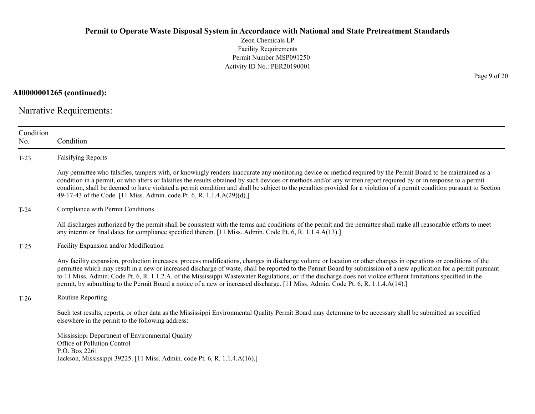Zeon Chemicals LP Facility Requirements Permit Number:MSP091250 Activity ID No.: PER20190001

AI0000001265 (continued):

Narrative Requirements:

| Condition<br>No. | Condition                                                                                                                                                                                                                                                                                                                                                                                                                                                                                                                                                                                                                                        |
|------------------|--------------------------------------------------------------------------------------------------------------------------------------------------------------------------------------------------------------------------------------------------------------------------------------------------------------------------------------------------------------------------------------------------------------------------------------------------------------------------------------------------------------------------------------------------------------------------------------------------------------------------------------------------|
| $T-23$           | <b>Falsifying Reports</b>                                                                                                                                                                                                                                                                                                                                                                                                                                                                                                                                                                                                                        |
|                  | Any permittee who falsifies, tampers with, or knowingly renders inaccurate any monitoring device or method required by the Permit Board to be maintained as a<br>condition in a permit, or who alters or falsifies the results obtained by such devices or methods and/or any written report required by or in response to a permit<br>condition, shall be deemed to have violated a permit condition and shall be subject to the penalties provided for a violation of a permit condition pursuant to Section<br>49-17-43 of the Code. [11 Miss. Admin. code Pt. 6, R. 1.1.4.A(29)(d).]                                                         |
| $T-24$           | Compliance with Permit Conditions                                                                                                                                                                                                                                                                                                                                                                                                                                                                                                                                                                                                                |
|                  | All discharges authorized by the permit shall be consistent with the terms and conditions of the permit and the permittee shall make all reasonable efforts to meet<br>any interim or final dates for compliance specified therein. [11 Miss. Admin. Code Pt. 6, R. 1.1.4.A(13).]                                                                                                                                                                                                                                                                                                                                                                |
| $T-25$           | Facility Expansion and/or Modification                                                                                                                                                                                                                                                                                                                                                                                                                                                                                                                                                                                                           |
|                  | Any facility expansion, production increases, process modifications, changes in discharge volume or location or other changes in operations or conditions of the<br>permittee which may result in a new or increased discharge of waste, shall be reported to the Permit Board by submission of a new application for a permit pursuant<br>to 11 Miss. Admin. Code Pt. 6, R. 1.1.2.A. of the Mississippi Wastewater Regulations, or if the discharge does not violate effluent limitations specified in the<br>permit, by submitting to the Permit Board a notice of a new or increased discharge. [11 Miss. Admin. Code Pt. 6, R. 1.1.4.A(14).] |
| $T-26$           | Routine Reporting                                                                                                                                                                                                                                                                                                                                                                                                                                                                                                                                                                                                                                |
|                  | Such test results, reports, or other data as the Mississippi Environmental Quality Permit Board may determine to be necessary shall be submitted as specified<br>elsewhere in the permit to the following address:                                                                                                                                                                                                                                                                                                                                                                                                                               |
|                  | Mississippi Department of Environmental Quality<br>Office of Pollution Control<br>P.O. Box 2261<br>Jackson, Mississippi 39225. [11 Miss. Admin. code Pt. 6, R. 1.1.4.A(16).]                                                                                                                                                                                                                                                                                                                                                                                                                                                                     |

Page 9 of 20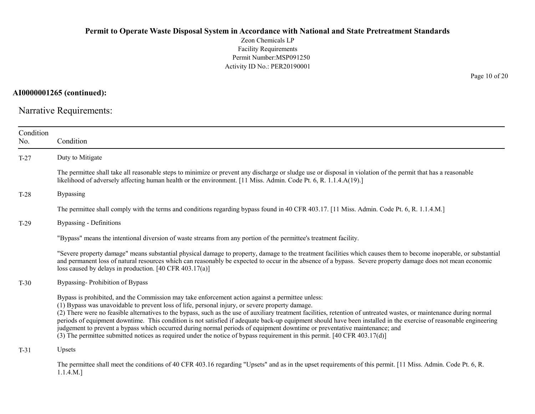Zeon Chemicals LP Facility Requirements Permit Number:MSP091250 Activity ID No.: PER20190001

AI0000001265 (continued):

Narrative Requirements:

| Condition<br>No.                         | Condition                                                                                                                                                                                                                                                                                                                                                                                                                                                                                                                                                                                                                                                                                                                                                                                                              |
|------------------------------------------|------------------------------------------------------------------------------------------------------------------------------------------------------------------------------------------------------------------------------------------------------------------------------------------------------------------------------------------------------------------------------------------------------------------------------------------------------------------------------------------------------------------------------------------------------------------------------------------------------------------------------------------------------------------------------------------------------------------------------------------------------------------------------------------------------------------------|
| $T-27$                                   | Duty to Mitigate                                                                                                                                                                                                                                                                                                                                                                                                                                                                                                                                                                                                                                                                                                                                                                                                       |
|                                          | The permittee shall take all reasonable steps to minimize or prevent any discharge or sludge use or disposal in violation of the permit that has a reasonable<br>likelihood of adversely affecting human health or the environment. [11 Miss. Admin. Code Pt. 6, R. 1.1.4.A(19).]                                                                                                                                                                                                                                                                                                                                                                                                                                                                                                                                      |
| $T-28$                                   | <b>Bypassing</b>                                                                                                                                                                                                                                                                                                                                                                                                                                                                                                                                                                                                                                                                                                                                                                                                       |
|                                          | The permittee shall comply with the terms and conditions regarding bypass found in 40 CFR 403.17. [11 Miss. Admin. Code Pt. 6, R. 1.1.4.M.]                                                                                                                                                                                                                                                                                                                                                                                                                                                                                                                                                                                                                                                                            |
| <b>Bypassing - Definitions</b><br>$T-29$ |                                                                                                                                                                                                                                                                                                                                                                                                                                                                                                                                                                                                                                                                                                                                                                                                                        |
|                                          | "Bypass" means the intentional diversion of waste streams from any portion of the permittee's treatment facility.                                                                                                                                                                                                                                                                                                                                                                                                                                                                                                                                                                                                                                                                                                      |
|                                          | "Severe property damage" means substantial physical damage to property, damage to the treatment facilities which causes them to become inoperable, or substantial<br>and permanent loss of natural resources which can reasonably be expected to occur in the absence of a bypass. Severe property damage does not mean economic<br>loss caused by delays in production. $[40 \text{ CFR } 403.17(a)]$                                                                                                                                                                                                                                                                                                                                                                                                                 |
| $T-30$                                   | Bypassing-Prohibition of Bypass                                                                                                                                                                                                                                                                                                                                                                                                                                                                                                                                                                                                                                                                                                                                                                                        |
|                                          | Bypass is prohibited, and the Commission may take enforcement action against a permittee unless:<br>(1) Bypass was unavoidable to prevent loss of life, personal injury, or severe property damage.<br>(2) There were no feasible alternatives to the bypass, such as the use of auxiliary treatment facilities, retention of untreated wastes, or maintenance during normal<br>periods of equipment downtime. This condition is not satisfied if adequate back-up equipment should have been installed in the exercise of reasonable engineering<br>judgement to prevent a bypass which occurred during normal periods of equipment downtime or preventative maintenance; and<br>(3) The permittee submitted notices as required under the notice of bypass requirement in this permit. $[40 \text{ CFR } 403.17(d)]$ |
| $T-31$                                   | Upsets                                                                                                                                                                                                                                                                                                                                                                                                                                                                                                                                                                                                                                                                                                                                                                                                                 |
|                                          | The permittee shall meet the conditions of 40 CFR 403.16 regarding "Upsets" and as in the upset requirements of this permit. [11 Miss. Admin. Code Pt. 6, R.<br>$1.1.4.M.$ ]                                                                                                                                                                                                                                                                                                                                                                                                                                                                                                                                                                                                                                           |

Page 10 of 20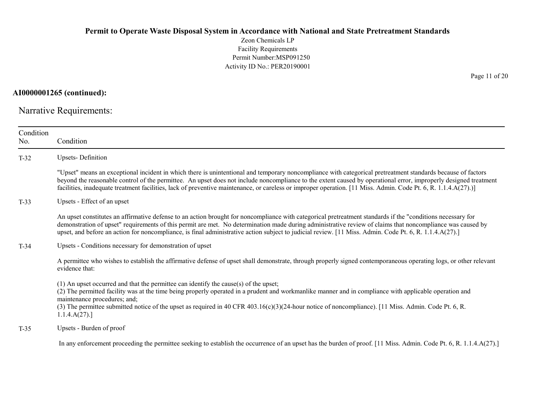Zeon Chemicals LP Facility Requirements Permit Number:MSP091250 Activity ID No.: PER20190001

AI0000001265 (continued):

Narrative Requirements:

| Condition<br>No. | Condition                                                                                                                                                                                                                                                                                                                                                                                                                                                                                          |
|------------------|----------------------------------------------------------------------------------------------------------------------------------------------------------------------------------------------------------------------------------------------------------------------------------------------------------------------------------------------------------------------------------------------------------------------------------------------------------------------------------------------------|
| $T-32$           | <b>Upsets-Definition</b>                                                                                                                                                                                                                                                                                                                                                                                                                                                                           |
|                  | "Upset" means an exceptional incident in which there is unintentional and temporary noncompliance with categorical pretreatment standards because of factors<br>beyond the reasonable control of the permittee. An upset does not include noncompliance to the extent caused by operational error, improperly designed treatment<br>facilities, inadequate treatment facilities, lack of preventive maintenance, or careless or improper operation. [11 Miss. Admin. Code Pt. 6, R. 1.1.4.A(27).)] |
| $T-33$           | Upsets - Effect of an upset                                                                                                                                                                                                                                                                                                                                                                                                                                                                        |
|                  | An upset constitutes an affirmative defense to an action brought for noncompliance with categorical pretreatment standards if the "conditions necessary for<br>demonstration of upset" requirements of this permit are met. No determination made during administrative review of claims that noncompliance was caused by<br>upset, and before an action for noncompliance, is final administrative action subject to judicial review. [11 Miss. Admin. Code Pt. 6, R. 1.1.4.A(27).]               |
| $T-34$           | Upsets - Conditions necessary for demonstration of upset                                                                                                                                                                                                                                                                                                                                                                                                                                           |
|                  | A permittee who wishes to establish the affirmative defense of upset shall demonstrate, through properly signed contemporaneous operating logs, or other relevant<br>evidence that:                                                                                                                                                                                                                                                                                                                |
|                  | $(1)$ An upset occurred and that the permittee can identify the cause(s) of the upset;<br>(2) The permitted facility was at the time being properly operated in a prudent and workmanlike manner and in compliance with applicable operation and<br>maintenance procedures; and;<br>(3) The permittee submitted notice of the upset as required in 40 CFR 403.16(c)(3)(24-hour notice of noncompliance). [11 Miss. Admin. Code Pt. 6, R.<br>1.1.4.A(27).                                           |
| $T-35$           | Upsets - Burden of proof                                                                                                                                                                                                                                                                                                                                                                                                                                                                           |
|                  | In any enforcement proceeding the permittee seeking to establish the occurrence of an upset has the burden of proof. [11 Miss. Admin. Code Pt. 6, R. 1.1.4.A(27).]                                                                                                                                                                                                                                                                                                                                 |

Page 11 of 20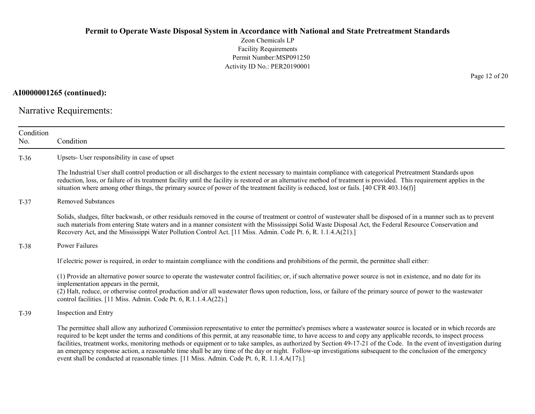Zeon Chemicals LP Facility Requirements Permit Number:MSP091250 Activity ID No.: PER20190001

AI0000001265 (continued):

Narrative Requirements:

| Condition<br>Condition<br>No. |                                                                                                                                                                                                                                                                                                                                                                                                                                                                                                                                                                                                                                                                                                                                                                               |  |  |
|-------------------------------|-------------------------------------------------------------------------------------------------------------------------------------------------------------------------------------------------------------------------------------------------------------------------------------------------------------------------------------------------------------------------------------------------------------------------------------------------------------------------------------------------------------------------------------------------------------------------------------------------------------------------------------------------------------------------------------------------------------------------------------------------------------------------------|--|--|
| $T-36$                        | Upsets- User responsibility in case of upset                                                                                                                                                                                                                                                                                                                                                                                                                                                                                                                                                                                                                                                                                                                                  |  |  |
|                               | The Industrial User shall control production or all discharges to the extent necessary to maintain compliance with categorical Pretreatment Standards upon<br>reduction, loss, or failure of its treatment facility until the facility is restored or an alternative method of treatment is provided. This requirement applies in the<br>situation where among other things, the primary source of power of the treatment facility is reduced, lost or fails. [40 CFR 403.16(f)]                                                                                                                                                                                                                                                                                              |  |  |
| $T-37$                        | <b>Removed Substances</b>                                                                                                                                                                                                                                                                                                                                                                                                                                                                                                                                                                                                                                                                                                                                                     |  |  |
|                               | Solids, sludges, filter backwash, or other residuals removed in the course of treatment or control of wastewater shall be disposed of in a manner such as to prevent<br>such materials from entering State waters and in a manner consistent with the Mississippi Solid Waste Disposal Act, the Federal Resource Conservation and<br>Recovery Act, and the Mississippi Water Pollution Control Act. [11 Miss. Admin. Code Pt. 6, R. 1.1.4.A(21).]                                                                                                                                                                                                                                                                                                                             |  |  |
| $T-38$                        | Power Failures                                                                                                                                                                                                                                                                                                                                                                                                                                                                                                                                                                                                                                                                                                                                                                |  |  |
|                               | If electric power is required, in order to maintain compliance with the conditions and prohibitions of the permit, the permittee shall either:                                                                                                                                                                                                                                                                                                                                                                                                                                                                                                                                                                                                                                |  |  |
|                               | (1) Provide an alternative power source to operate the wastewater control facilities; or, if such alternative power source is not in existence, and no date for its<br>implementation appears in the permit,<br>(2) Halt, reduce, or otherwise control production and/or all wastewater flows upon reduction, loss, or failure of the primary source of power to the wastewater<br>control facilities. [11 Miss. Admin. Code Pt. 6, R.1.1.4.A(22).]                                                                                                                                                                                                                                                                                                                           |  |  |
| $T-39$                        | Inspection and Entry                                                                                                                                                                                                                                                                                                                                                                                                                                                                                                                                                                                                                                                                                                                                                          |  |  |
|                               | The permittee shall allow any authorized Commission representative to enter the permittee's premises where a wastewater source is located or in which records are<br>required to be kept under the terms and conditions of this permit, at any reasonable time, to have access to and copy any applicable records, to inspect process<br>facilities, treatment works, monitoring methods or equipment or to take samples, as authorized by Section 49-17-21 of the Code. In the event of investigation during<br>an emergency response action, a reasonable time shall be any time of the day or night. Follow-up investigations subsequent to the conclusion of the emergency<br>event shall be conducted at reasonable times. [11 Miss. Admin. Code Pt. 6, R. 1.1.4.A(17).] |  |  |

Page 12 of 20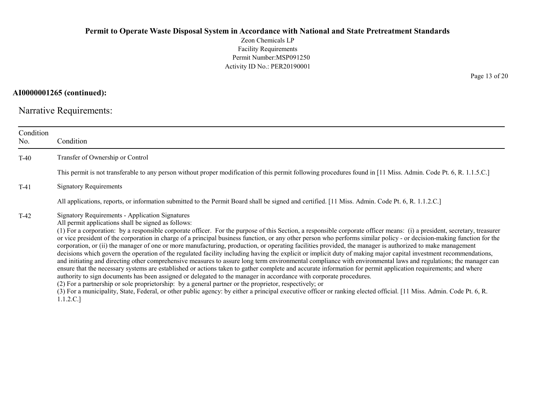Zeon Chemicals LP Facility Requirements Permit Number:MSP091250 Activity ID No.: PER20190001

AI0000001265 (continued):

Narrative Requirements:

| Condition<br>No. | Condition                                                                                                                                                                                                                                                                                                                                                                                                                                                                                                                                                                                                                                                                                                                                                                                                                                                                                                                                                                                                                                                                                                                                                                                                                                                                                                                                                                                                                                                                                                                                               |  |
|------------------|---------------------------------------------------------------------------------------------------------------------------------------------------------------------------------------------------------------------------------------------------------------------------------------------------------------------------------------------------------------------------------------------------------------------------------------------------------------------------------------------------------------------------------------------------------------------------------------------------------------------------------------------------------------------------------------------------------------------------------------------------------------------------------------------------------------------------------------------------------------------------------------------------------------------------------------------------------------------------------------------------------------------------------------------------------------------------------------------------------------------------------------------------------------------------------------------------------------------------------------------------------------------------------------------------------------------------------------------------------------------------------------------------------------------------------------------------------------------------------------------------------------------------------------------------------|--|
| $T-40$           | Transfer of Ownership or Control                                                                                                                                                                                                                                                                                                                                                                                                                                                                                                                                                                                                                                                                                                                                                                                                                                                                                                                                                                                                                                                                                                                                                                                                                                                                                                                                                                                                                                                                                                                        |  |
|                  | This permit is not transferable to any person without proper modification of this permit following procedures found in [11 Miss. Admin. Code Pt. 6, R. 1.1.5.C.]                                                                                                                                                                                                                                                                                                                                                                                                                                                                                                                                                                                                                                                                                                                                                                                                                                                                                                                                                                                                                                                                                                                                                                                                                                                                                                                                                                                        |  |
| $T-41$           | <b>Signatory Requirements</b>                                                                                                                                                                                                                                                                                                                                                                                                                                                                                                                                                                                                                                                                                                                                                                                                                                                                                                                                                                                                                                                                                                                                                                                                                                                                                                                                                                                                                                                                                                                           |  |
|                  | All applications, reports, or information submitted to the Permit Board shall be signed and certified. [11 Miss. Admin. Code Pt. 6, R. 1.1.2.C.]                                                                                                                                                                                                                                                                                                                                                                                                                                                                                                                                                                                                                                                                                                                                                                                                                                                                                                                                                                                                                                                                                                                                                                                                                                                                                                                                                                                                        |  |
| $T-42$           | Signatory Requirements - Application Signatures<br>All permit applications shall be signed as follows:<br>(1) For a corporation: by a responsible corporate officer. For the purpose of this Section, a responsible corporate officer means: (i) a president, secretary, treasurer<br>or vice president of the corporation in charge of a principal business function, or any other person who performs similar policy - or decision-making function for the<br>corporation, or (ii) the manager of one or more manufacturing, production, or operating facilities provided, the manager is authorized to make management<br>decisions which govern the operation of the regulated facility including having the explicit or implicit duty of making major capital investment recommendations,<br>and initiating and directing other comprehensive measures to assure long term environmental compliance with environmental laws and regulations; the manager can<br>ensure that the necessary systems are established or actions taken to gather complete and accurate information for permit application requirements; and where<br>authority to sign documents has been assigned or delegated to the manager in accordance with corporate procedures.<br>(2) For a partnership or sole proprietorship: by a general partner or the proprietor, respectively; or<br>(3) For a municipality, State, Federal, or other public agency: by either a principal executive officer or ranking elected official. [11 Miss. Admin. Code Pt. 6, R.<br>1.1.2.C.] |  |

Page 13 of 20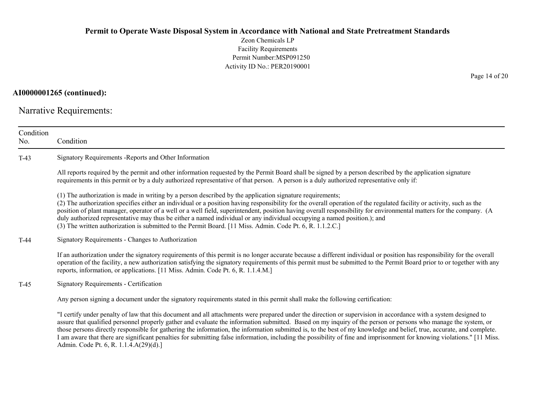Zeon Chemicals LP Facility Requirements Permit Number:MSP091250 Activity ID No.: PER20190001

#### AI0000001265 (continued):

Narrative Requirements:

| Condition<br>No. | Condition                                                                                                                                                                                                                                                                                                                                                                                                                                                                                                                                                                                                                                                                                          |
|------------------|----------------------------------------------------------------------------------------------------------------------------------------------------------------------------------------------------------------------------------------------------------------------------------------------------------------------------------------------------------------------------------------------------------------------------------------------------------------------------------------------------------------------------------------------------------------------------------------------------------------------------------------------------------------------------------------------------|
| $T-43$           | Signatory Requirements - Reports and Other Information                                                                                                                                                                                                                                                                                                                                                                                                                                                                                                                                                                                                                                             |
|                  | All reports required by the permit and other information requested by the Permit Board shall be signed by a person described by the application signature<br>requirements in this permit or by a duly authorized representative of that person. A person is a duly authorized representative only if:                                                                                                                                                                                                                                                                                                                                                                                              |
|                  | (1) The authorization is made in writing by a person described by the application signature requirements;<br>(2) The authorization specifies either an individual or a position having responsibility for the overall operation of the regulated facility or activity, such as the<br>position of plant manager, operator of a well or a well field, superintendent, position having overall responsibility for environmental matters for the company. (A<br>duly authorized representative may thus be either a named individual or any individual occupying a named position.); and<br>(3) The written authorization is submitted to the Permit Board. [11 Miss. Admin. Code Pt. 6, R. 1.1.2.C.] |
| $T-44$           | Signatory Requirements - Changes to Authorization                                                                                                                                                                                                                                                                                                                                                                                                                                                                                                                                                                                                                                                  |
|                  | If an authorization under the signatory requirements of this permit is no longer accurate because a different individual or position has responsibility for the overall<br>operation of the facility, a new authorization satisfying the signatory requirements of this permit must be submitted to the Permit Board prior to or together with any<br>reports, information, or applications. [11 Miss. Admin. Code Pt. 6, R. 1.1.4.M.]                                                                                                                                                                                                                                                             |
| $T-45$           | Signatory Requirements - Certification                                                                                                                                                                                                                                                                                                                                                                                                                                                                                                                                                                                                                                                             |
|                  | Any person signing a document under the signatory requirements stated in this permit shall make the following certification:                                                                                                                                                                                                                                                                                                                                                                                                                                                                                                                                                                       |
|                  | "I certify under penalty of law that this document and all attachments were prepared under the direction or supervision in accordance with a system designed to<br>assure that qualified personnel properly gather and evaluate the information submitted. Based on my inquiry of the person or persons who manage the system, or<br>those persons directly responsible for gathering the information, the information submitted is, to the best of my knowledge and belief, true, accurate, and complete.<br>I am aware that there are significant penalties for submitting false information, including the possibility of fine and imprisonment for knowing violations." [11 Miss.              |

Admin. Code Pt. 6, R. 1.1.4.A(29)(d).]

Page 14 of 20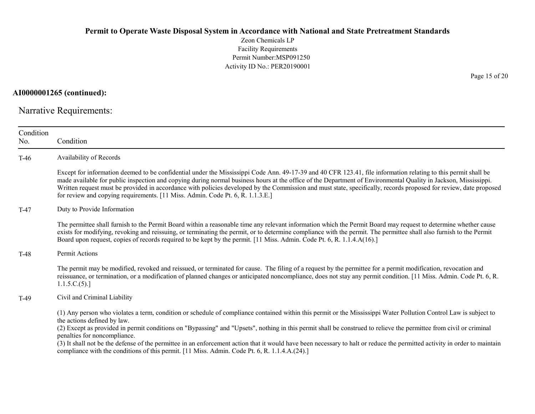Zeon Chemicals LP Facility Requirements Permit Number:MSP091250 Activity ID No.: PER20190001

AI0000001265 (continued):

Narrative Requirements:

| Condition<br>No.                  | Condition                                                                                                                                                                                                                                                                                                                                                                                                                                                                                                                                                                                                                                                                            |  |  |  |
|-----------------------------------|--------------------------------------------------------------------------------------------------------------------------------------------------------------------------------------------------------------------------------------------------------------------------------------------------------------------------------------------------------------------------------------------------------------------------------------------------------------------------------------------------------------------------------------------------------------------------------------------------------------------------------------------------------------------------------------|--|--|--|
| Availability of Records<br>$T-46$ |                                                                                                                                                                                                                                                                                                                                                                                                                                                                                                                                                                                                                                                                                      |  |  |  |
|                                   | Except for information deemed to be confidential under the Mississippi Code Ann. 49-17-39 and 40 CFR 123.41, file information relating to this permit shall be<br>made available for public inspection and copying during normal business hours at the office of the Department of Environmental Quality in Jackson, Mississippi.<br>Written request must be provided in accordance with policies developed by the Commission and must state, specifically, records proposed for review, date proposed<br>for review and copying requirements. [11 Miss. Admin. Code Pt. 6, R. 1.1.3.E.]                                                                                             |  |  |  |
| $T-47$                            | Duty to Provide Information                                                                                                                                                                                                                                                                                                                                                                                                                                                                                                                                                                                                                                                          |  |  |  |
|                                   | The permittee shall furnish to the Permit Board within a reasonable time any relevant information which the Permit Board may request to determine whether cause<br>exists for modifying, revoking and reissuing, or terminating the permit, or to determine compliance with the permit. The permittee shall also furnish to the Permit<br>Board upon request, copies of records required to be kept by the permit. [11 Miss. Admin. Code Pt. 6, R. 1.1.4.A(16).]                                                                                                                                                                                                                     |  |  |  |
| T-48                              | Permit Actions                                                                                                                                                                                                                                                                                                                                                                                                                                                                                                                                                                                                                                                                       |  |  |  |
|                                   | The permit may be modified, revoked and reissued, or terminated for cause. The filing of a request by the permittee for a permit modification, revocation and<br>reissuance, or termination, or a modification of planned changes or anticipated noncompliance, does not stay any permit condition. [11 Miss. Admin. Code Pt. 6, R.<br>1.1.5.C.(5).]                                                                                                                                                                                                                                                                                                                                 |  |  |  |
| $T-49$                            | Civil and Criminal Liability                                                                                                                                                                                                                                                                                                                                                                                                                                                                                                                                                                                                                                                         |  |  |  |
|                                   | (1) Any person who violates a term, condition or schedule of compliance contained within this permit or the Mississippi Water Pollution Control Law is subject to<br>the actions defined by law.<br>(2) Except as provided in permit conditions on "Bypassing" and "Upsets", nothing in this permit shall be construed to relieve the permittee from civil or criminal<br>penalties for noncompliance.<br>(3) It shall not be the defense of the permittee in an enforcement action that it would have been necessary to halt or reduce the permitted activity in order to maintain<br>compliance with the conditions of this permit. [11 Miss. Admin. Code Pt. 6, R. 1.1.4.A.(24).] |  |  |  |

Page 15 of 20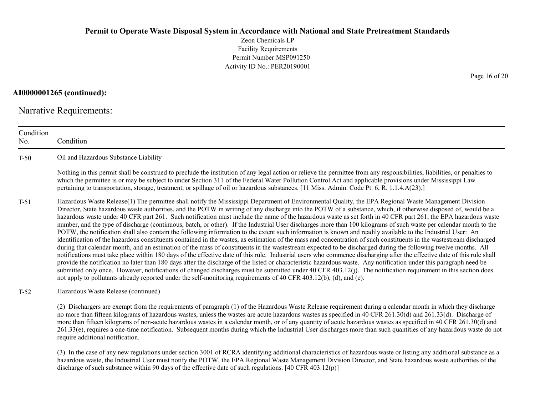Zeon Chemicals LP Facility Requirements Permit Number:MSP091250 Activity ID No.: PER20190001

AI0000001265 (continued):

Narrative Requirements:

Condition No. Condition T-50 Oil and Hazardous Substance Liability Nothing in this permit shall be construed to preclude the institution of any legal action or relieve the permittee from any responsibilities, liabilities, or penalties to which the permittee is or may be subject to under Section 311 of the Federal Water Pollution Control Act and applicable provisions under Mississippi Law pertaining to transportation, storage, treatment, or spillage of oil or hazardous substances. [11 Miss. Admin. Code Pt. 6, R. 1.1.4.A(23).] T-51 Hazardous Waste Release(1) The permittee shall notify the Mississippi Department of Environmental Quality, the EPA Regional Waste Management Division Director, State hazardous waste authorities, and the POTW in writing of any discharge into the POTW of a substance, which, if otherwise disposed of, would be a hazardous waste under 40 CFR part 261. Such notification must include the name of the hazardous waste as set forth in 40 CFR part 261, the EPA hazardous waste number, and the type of discharge (continuous, batch, or other). If the Industrial User discharges more than 100 kilograms of such waste per calendar month to the POTW, the notification shall also contain the following information to the extent such information is known and readily available to the Industrial User: An identification of the hazardous constituents contained in the wastes, as estimation of the mass and concentration of such constituents in the wastestream discharged during that calendar month, and an estimation of the mass of constituents in the wastestream expected to be discharged during the following twelve months. All notifications must take place within 180 days of the effective date of this rule. Industrial users who commence discharging after the effective date of this rule shall provide the notification no later than 180 days after the discharge of the listed or characteristic hazardous waste. Any notification under this paragraph need be submitted only once. However, notifications of changed discharges must be submitted under 40 CFR 403.12(j). The notification requirement in this section does not apply to pollutants already reported under the self-monitoring requirements of 40 CFR 403.12(b), (d), and (e). T-52 Hazardous Waste Release (continued) (2) Dischargers are exempt from the requirements of paragraph (1) of the Hazardous Waste Release requirement during a calendar month in which they discharge no more than fifteen kilograms of hazardous wastes, unless the wastes are acute hazardous wastes as specified in 40 CFR 261.30(d) and 261.33(d). Discharge of more than fifteen kilograms of non-acute hazardous wastes in a calendar month, or of any quantity of acute hazardous wastes as specified in 40 CFR 261.30(d) and 261.33(e), requires a one-time notification. Subsequent months during which the Industrial User discharges more than such quantities of any hazardous waste do not require additional notification.

(3) In the case of any new regulations under section 3001 of RCRA identifying additional characteristics of hazardous waste or listing any additional substance as a hazardous waste, the Industrial User must notify the POTW, the EPA Regional Waste Management Division Director, and State hazardous waste authorities of the discharge of such substance within 90 days of the effective date of such regulations. [40 CFR 403.12(p)]

Page 16 of 20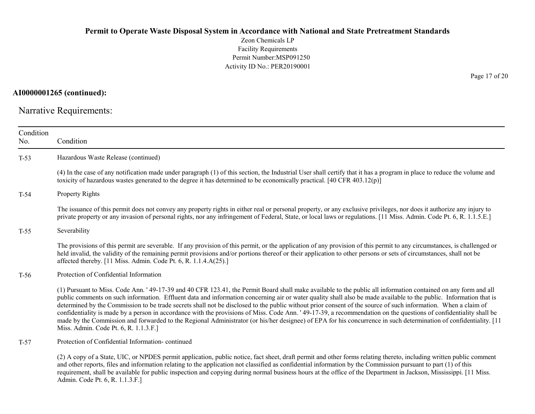Zeon Chemicals LP Facility Requirements Permit Number:MSP091250 Activity ID No.: PER20190001

AI0000001265 (continued):

Narrative Requirements:

| Condition<br>No. | Condition                                                                                                                                                                                                                                                                                                                                                                                                                                                                                                                                                                                                                                                                                                                                                                                                                                                                                 |
|------------------|-------------------------------------------------------------------------------------------------------------------------------------------------------------------------------------------------------------------------------------------------------------------------------------------------------------------------------------------------------------------------------------------------------------------------------------------------------------------------------------------------------------------------------------------------------------------------------------------------------------------------------------------------------------------------------------------------------------------------------------------------------------------------------------------------------------------------------------------------------------------------------------------|
| $T-53$           | Hazardous Waste Release (continued)                                                                                                                                                                                                                                                                                                                                                                                                                                                                                                                                                                                                                                                                                                                                                                                                                                                       |
|                  | (4) In the case of any notification made under paragraph (1) of this section, the Industrial User shall certify that it has a program in place to reduce the volume and<br>toxicity of hazardous wastes generated to the degree it has determined to be economically practical. [40 CFR 403.12(p)]                                                                                                                                                                                                                                                                                                                                                                                                                                                                                                                                                                                        |
| $T-54$           | Property Rights                                                                                                                                                                                                                                                                                                                                                                                                                                                                                                                                                                                                                                                                                                                                                                                                                                                                           |
|                  | The issuance of this permit does not convey any property rights in either real or personal property, or any exclusive privileges, nor does it authorize any injury to<br>private property or any invasion of personal rights, nor any infringement of Federal, State, or local laws or regulations. [11 Miss. Admin. Code Pt. 6, R. 1.1.5.E.]                                                                                                                                                                                                                                                                                                                                                                                                                                                                                                                                             |
| $T-55$           | Severability                                                                                                                                                                                                                                                                                                                                                                                                                                                                                                                                                                                                                                                                                                                                                                                                                                                                              |
|                  | The provisions of this permit are severable. If any provision of this permit, or the application of any provision of this permit to any circumstances, is challenged or<br>held invalid, the validity of the remaining permit provisions and/or portions thereof or their application to other persons or sets of circumstances, shall not be<br>affected thereby. [11 Miss. Admin. Code Pt. 6, R. 1.1.4.A(25).]                                                                                                                                                                                                                                                                                                                                                                                                                                                                          |
| $T-56$           | Protection of Confidential Information                                                                                                                                                                                                                                                                                                                                                                                                                                                                                                                                                                                                                                                                                                                                                                                                                                                    |
|                  | (1) Pursuant to Miss. Code Ann. '49-17-39 and 40 CFR 123.41, the Permit Board shall make available to the public all information contained on any form and all<br>public comments on such information. Effluent data and information concerning air or water quality shall also be made available to the public. Information that is<br>determined by the Commission to be trade secrets shall not be disclosed to the public without prior consent of the source of such information. When a claim of<br>confidentiality is made by a person in accordance with the provisions of Miss. Code Ann. '49-17-39, a recommendation on the questions of confidentiality shall be<br>made by the Commission and forwarded to the Regional Administrator (or his/her designee) of EPA for his concurrence in such determination of confidentiality. [11<br>Miss. Admin. Code Pt. 6, R. 1.1.3.F.] |
| $T-57$           | Protection of Confidential Information-continued                                                                                                                                                                                                                                                                                                                                                                                                                                                                                                                                                                                                                                                                                                                                                                                                                                          |
|                  | (2) A copy of a State, UIC, or NPDES permit application, public notice, fact sheet, draft permit and other forms relating thereto, including written public comment<br>and other reports, files and information relating to the application not classified as confidential information by the Commission pursuant to part (1) of this<br>requirement, shall be available for public inspection and copying during normal business hours at the office of the Department in Jackson, Mississippi. [11 Miss.]<br>Admin. Code Pt. 6, R. 1.1.3.F.]                                                                                                                                                                                                                                                                                                                                            |

Page 17 of 20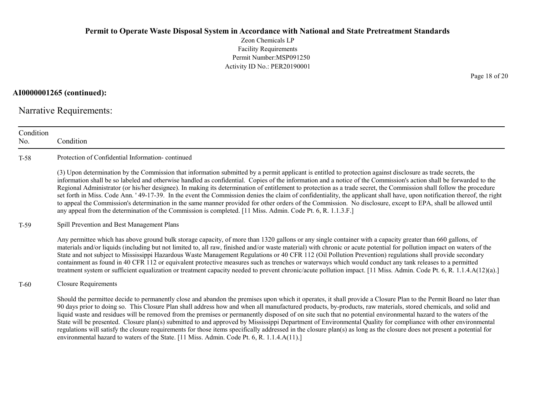Zeon Chemicals LP Facility Requirements Permit Number:MSP091250 Activity ID No.: PER20190001

AI0000001265 (continued):

Narrative Requirements:

| Condition<br>No. | Condition                                                                                                                                                                                                                                                                                                                                                                                                                                                                                                                                                                                                                                                                                                                                                                                                                                                                                                                                                            |
|------------------|----------------------------------------------------------------------------------------------------------------------------------------------------------------------------------------------------------------------------------------------------------------------------------------------------------------------------------------------------------------------------------------------------------------------------------------------------------------------------------------------------------------------------------------------------------------------------------------------------------------------------------------------------------------------------------------------------------------------------------------------------------------------------------------------------------------------------------------------------------------------------------------------------------------------------------------------------------------------|
| $T-58$           | Protection of Confidential Information-continued                                                                                                                                                                                                                                                                                                                                                                                                                                                                                                                                                                                                                                                                                                                                                                                                                                                                                                                     |
|                  | (3) Upon determination by the Commission that information submitted by a permit applicant is entitled to protection against disclosure as trade secrets, the<br>information shall be so labeled and otherwise handled as confidential. Copies of the information and a notice of the Commission's action shall be forwarded to the<br>Regional Administrator (or his/her designee). In making its determination of entitlement to protection as a trade secret, the Commission shall follow the procedure<br>set forth in Miss. Code Ann. '49-17-39. In the event the Commission denies the claim of confidentiality, the applicant shall have, upon notification thereof, the right<br>to appeal the Commission's determination in the same manner provided for other orders of the Commission. No disclosure, except to EPA, shall be allowed until<br>any appeal from the determination of the Commission is completed. [11 Miss. Admin. Code Pt. 6, R. 1.1.3.F.] |
| $T-59$           | Spill Prevention and Best Management Plans                                                                                                                                                                                                                                                                                                                                                                                                                                                                                                                                                                                                                                                                                                                                                                                                                                                                                                                           |
|                  | Any permittee which has above ground bulk storage capacity, of more than 1320 gallons or any single container with a capacity greater than 660 gallons, of<br>materials and/or liquids (including but not limited to, all raw, finished and/or waste material) with chronic or acute potential for pollution impact on waters of the<br>State and not subject to Mississippi Hazardous Waste Management Regulations or 40 CFR 112 (Oil Pollution Prevention) regulations shall provide secondary<br>containment as found in 40 CFR 112 or equivalent protective measures such as trenches or waterways which would conduct any tank releases to a permitted<br>treatment system or sufficient equalization or treatment capacity needed to prevent chronic/acute pollution impact. [11 Miss. Admin. Code Pt. 6, R. 1.1.4.A(12)(a).]                                                                                                                                  |
| $T-60$           | <b>Closure Requirements</b>                                                                                                                                                                                                                                                                                                                                                                                                                                                                                                                                                                                                                                                                                                                                                                                                                                                                                                                                          |
|                  | Should the permittee decide to permanently close and abandon the premises upon which it operates, it shall provide a Closure Plan to the Permit Board no later than<br>90 days prior to doing so. This Closure Plan shall address how and when all manufactured products, by-products, raw materials, stored chemicals, and solid and<br>liquid waste and residues will be removed from the premises or permanently disposed of on site such that no potential environmental hazard to the waters of the<br>State will be presented. Closure plan(s) submitted to and approved by Mississippi Department of Environmental Quality for compliance with other environmental<br>regulations will satisfy the closure requirements for those items specifically addressed in the closure plan(s) as long as the closure does not present a potential for<br>environmental hazard to waters of the State. [11 Miss. Admin. Code Pt. 6, R. 1.1.4.A(11).]                   |

Page 18 of 20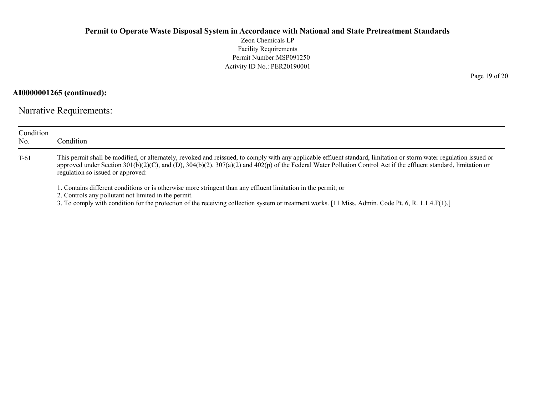Zeon Chemicals LP Facility Requirements Permit Number:MSP091250 Activity ID No.: PER20190001

AI0000001265 (continued):

Narrative Requirements:

| Condition<br>No. | Condition                                                                                                                                                                                                                                                                                                                                                                     |
|------------------|-------------------------------------------------------------------------------------------------------------------------------------------------------------------------------------------------------------------------------------------------------------------------------------------------------------------------------------------------------------------------------|
| $T-61$           | This permit shall be modified, or alternately, revoked and reissued, to comply with any applicable effluent standard, limitation or storm water regulation issued or<br>approved under Section 301(b)(2)(C), and (D), 304(b)(2), 307(a)(2) and 402(p) of the Federal Water Pollution Control Act if the effluent standard, limitation or<br>regulation so issued or approved: |
|                  | . Contains different conditions or is otherwise more stringent than any effluent limitation in the permit; or<br>2. Controls any pollutant not limited in the permit.<br>3. To comply with condition for the protection of the receiving collection system or treatment works. [11 Miss. Admin. Code Pt. 6, R. 1.1.4.F(1).]                                                   |

Page 19 of 20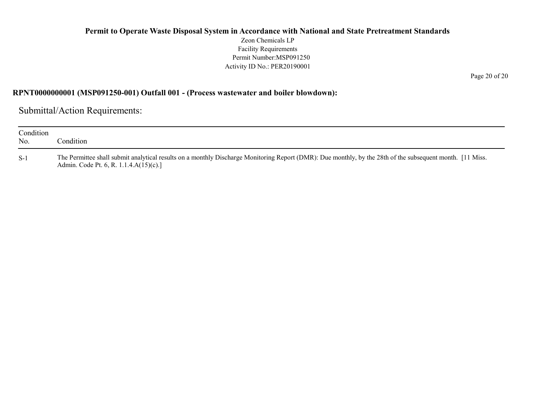Zeon Chemicals LP Facility Requirements Permit Number:MSP091250 Activity ID No.: PER20190001

Page 20 of 20

#### RPNT0000000001 (MSP091250-001) Outfall 001 - (Process wastewater and boiler blowdown):

Submittal/Action Requirements:

| Condition<br>No. | Condition                                                                                                                                                                                           |
|------------------|-----------------------------------------------------------------------------------------------------------------------------------------------------------------------------------------------------|
| $S-1$            | The Permittee shall submit analytical results on a monthly Discharge Monitoring Report (DMR): Due monthly, by the 28th of the subsequent month. [11 Miss.<br>Admin. Code Pt. 6, R. 1.1.4.A(15)(c).] |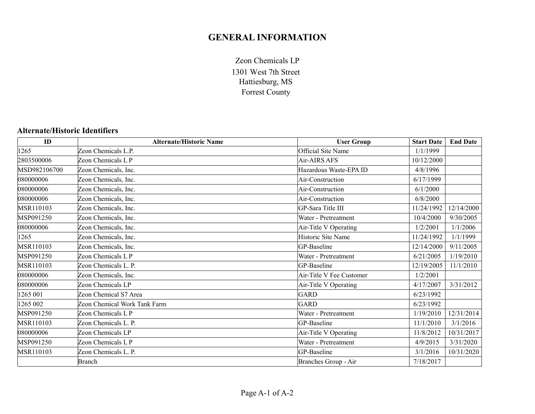# GENERAL INFORMATION

1301 West 7th Street Hattiesburg, MS Forrest County Zeon Chemicals LP

# Alternate/Historic Identifiers

| ID           | <b>Alternate/Historic Name</b> | <b>User Group</b>         | <b>Start Date</b> | <b>End Date</b> |
|--------------|--------------------------------|---------------------------|-------------------|-----------------|
| 1265         | Zeon Chemicals L.P.            | <b>Official Site Name</b> | 1/1/1999          |                 |
| 2803500006   | Zeon Chemicals L P             | Air-AIRS AFS              | 10/12/2000        |                 |
| MSD982106700 | Zeon Chemicals, Inc.           | Hazardous Waste-EPA ID    | 4/8/1996          |                 |
| 080000006    | Zeon Chemicals, Inc.           | Air-Construction          | 6/17/1999         |                 |
| 080000006    | Zeon Chemicals, Inc.           | Air-Construction          | 6/1/2000          |                 |
| 080000006    | Zeon Chemicals, Inc.           | Air-Construction          | 6/8/2000          |                 |
| MSR110103    | Zeon Chemicals, Inc.           | GP-Sara Title III         | 11/24/1992        | 12/14/2000      |
| MSP091250    | Zeon Chemicals, Inc.           | Water - Pretreatment      | 10/4/2000         | 9/30/2005       |
| 080000006    | Zeon Chemicals, Inc.           | Air-Title V Operating     | 1/2/2001          | 1/1/2006        |
| 1265         | Zeon Chemicals, Inc.           | Historic Site Name        | 11/24/1992        | 1/1/1999        |
| MSR110103    | Zeon Chemicals, Inc.           | GP-Baseline               | 12/14/2000        | 9/11/2005       |
| MSP091250    | Zeon Chemicals L P             | Water - Pretreatment      | 6/21/2005         | 1/19/2010       |
| MSR110103    | Zeon Chemicals L. P.           | GP-Baseline               | 12/19/2005        | 11/1/2010       |
| 080000006    | Zeon Chemicals, Inc.           | Air-Title V Fee Customer  | 1/2/2001          |                 |
| 080000006    | Zeon Chemicals LP              | Air-Title V Operating     | 4/17/2007         | 3/31/2012       |
| 1265 001     | Zeon Chemical S7 Area          | <b>GARD</b>               | 6/23/1992         |                 |
| 1265 002     | Zeon Chemical Work Tank Farm   | <b>GARD</b>               | 6/23/1992         |                 |
| MSP091250    | Zeon Chemicals L P             | Water - Pretreatment      | 1/19/2010         | 12/31/2014      |
| MSR110103    | Zeon Chemicals L. P.           | GP-Baseline               | 11/1/2010         | 3/1/2016        |
| 080000006    | Zeon Chemicals LP              | Air-Title V Operating     | 11/8/2012         | 10/31/2017      |
| MSP091250    | Zeon Chemicals L P             | Water - Pretreatment      | 4/9/2015          | 3/31/2020       |
| MSR110103    | Zeon Chemicals L. P.           | GP-Baseline               | 3/1/2016          | 10/31/2020      |
|              | <b>Branch</b>                  | Branches Group - Air      | 7/18/2017         |                 |